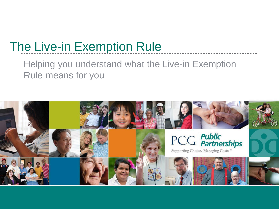## The Live-in Exemption Rule

#### Helping you understand what the Live-in Exemption Rule means for you

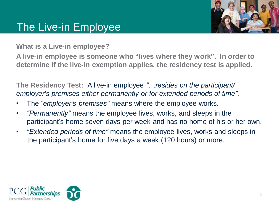### The Live-in Employee



**What is a Live-in employee?**

**A live-in employee is someone who "lives where they work". In order to determine if the live-in exemption applies, the residency test is applied.**

**The Residency Test:** A live-in employee *"…resides on the participant/ employer's premises either permanently or for extended periods of time"*.

- The *"employer's premises"* means where the employee works.
- *"Permanently"* means the employee lives, works, and sleeps in the participant's home seven days per week and has no home of his or her own.
- *"Extended periods of time"* means the employee lives, works and sleeps in the participant's home for five days a week (120 hours) or more.

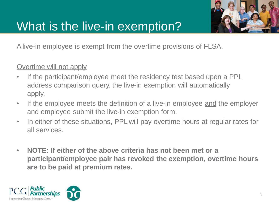

## What is the live-in exemption?

Alive-in employee is exempt from the overtime provisions of FLSA.

#### Overtime will not apply

- If the participant/employee meet the residency test based upon a PPL address comparison query, the live-in exemption will automatically apply.
- If the employee meets the definition of a live-in employee and the employer and employee submit the live-in exemption form.
- In either of these situations, PPL will pay overtime hours at regular rates for all services.
- **NOTE: If either of the above criteria has not been met or a participant/employee pair has revoked the exemption, overtime hours are to be paid at premium rates.**

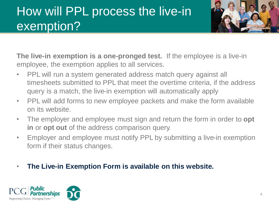# How will PPL process the live-in exemption?



**The live-in exemption is a one-pronged test.** If the employee is a live-in employee, the exemption applies to all services.

- PPL will run a system generated address match query against all timesheets submitted to PPL that meet the overtime criteria, if the address query is a match, the live-in exemption will automatically apply
- PPL will add forms to new employee packets and make the form available on its website.
- The employer and employee must sign and return the form in order to **opt in** or **opt out** of the address comparison query.
- Employer and employee must notify PPL by submitting a live-in exemption form if their status changes.
- **The Live-in Exemption Form is available on this website.**